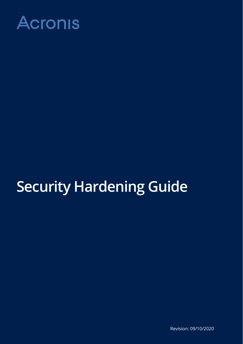

# **Security Hardening Guide**

Revision: 09/10/2020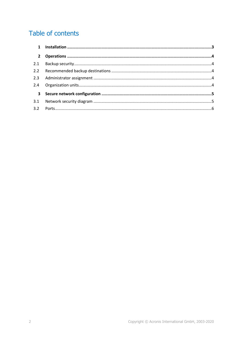### Table of contents

| $\mathbf{1}$   |  |
|----------------|--|
| $2^{\circ}$    |  |
| 2.1            |  |
| 2.2            |  |
| 2.3            |  |
| 2.4            |  |
| 3 <sup>7</sup> |  |
| 3.1            |  |
| 3.2            |  |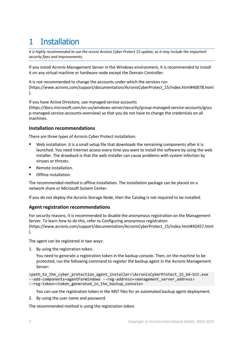# <span id="page-2-0"></span>1 Installation

*It is highly recommended to use the recent Acronis Cyber Protect 15 update, as it may include the important security fixes and improvements.*

If you install Acronis Management Server in the Windows environment, it is recommended to install it on any virtual machine or hardware node except the Domain Controller.

It is not recommended to change the accounts under which the services run [\(https://www.acronis.com/support/documentation/AcronisCyberProtect\\_15/index.html#40078.html](https://www.acronis.com/support/documentation/AcronisCyberProtect_15/index.html#40078.html) ).

If you have Active Directory, use managed service accounts

[\(https://docs.microsoft.com/en-us/windows-server/security/group-managed-service-accounts/grou](https://docs.microsoft.com/en-us/windows-server/security/group-managed-service-accounts/group-managed-service-accounts-overview) [p-managed-service-accounts-overview\)](https://docs.microsoft.com/en-us/windows-server/security/group-managed-service-accounts/group-managed-service-accounts-overview) so that you do not have to change the credentials on all machines.

#### **Installation recommendations**

There are three types of Acronis Cyber Protect installation:

- Web installation. It is a small setup file that downloads the remaining components after it is launched. You need Internet access every time you want to install the software by using the web installer. The drawback is that the web installer can cause problems with system infection by viruses or threats.
- Remote installation.
- Offline installation.

The recommended method is offline installation. The installation package can be placed on a network share or Microsoft System Center.

If you do not deploy the Acronis Storage Node, then the Catalog is not required to be installed.

#### **Agent registration recommendations**

For security reasons, it is recommended to disable the anonymous registration on the Management Server. To learn how to do this, refer to Configuring anonymous registration [\(https://www.acronis.com/support/documentation/AcronisCyberProtect\\_15/index.html#42457.html](https://www.acronis.com/support/documentation/AcronisCyberProtect_15/index.html#42457.html) ).

The agent can be registered in two ways:

1. By using the registration token.

You need to generate a registration token in the backup console. Then, on the machine to be protected, run the following command to register the backup agent in the Acronis Management Server:

```
<path_to_the_cyber_protection_agent_installer>\AcronisCyberProtect_15_64-bit.exe 
--add-components=agentForWindows --reg-address=<management_server_address> 
--reg-token=<token generated in the backup console>
```
You can use the registration token in the MST files for an automated backup agent deployment.

2. By using the user name and password.

The recommended method is using the registration token.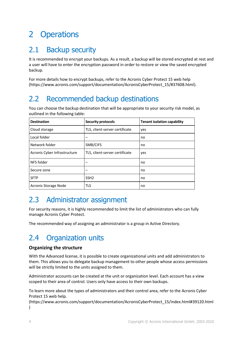# <span id="page-3-0"></span>2 Operations

### <span id="page-3-1"></span>2.1 Backup security

It is recommended to encrypt your backups. As a result, a backup will be stored encrypted at rest and a user will have to enter the encryption password in order to restore or view the saved encrypted backup.

For more details how to encrypt backups, refer to the Acronis Cyber Protect 15 web help [\(https://www.acronis.com/support/documentation/AcronisCyberProtect\\_15/#37608.html\)](https://www.acronis.com/support/documentation/AcronisCyberProtect_15/#37608.html).

# <span id="page-3-2"></span>2.2 Recommended backup destinations

You can choose the backup destination that will be appropriate to your security risk model, as outlined in the following table:

| <b>Destination</b>           | <b>Security protocols</b>      | <b>Tenant isolation capability</b> |
|------------------------------|--------------------------------|------------------------------------|
| Cloud storage                | TLS, client-server certificate | yes                                |
| Local folder                 |                                | no                                 |
| Network folder               | SMB/CIFS                       | no                                 |
| Acronis Cyber Infrastructure | TLS, client-server certificate | yes                                |
| NFS folder                   |                                | no                                 |
| Secure zone                  |                                | no                                 |
| <b>SFTP</b>                  | SSH <sub>2</sub>               | no                                 |
| Acronis Storage Node         | <b>TLS</b>                     | no                                 |

### <span id="page-3-3"></span>2.3 Administrator assignment

For security reasons, it is highly recommended to limit the list of administrators who can fully manage Acronis Cyber Protect.

The recommended way of assigning an administrator is a group in Active Directory.

# <span id="page-3-4"></span>2.4 Organization units

#### **Organizing the structure**

With the Advanced license, it is possible to create organizational units and add administrators to them. This allows you to delegate backup management to other people whose access permissions will be strictly limited to the units assigned to them.

Administrator accounts can be created at the unit or organization level. Each account has a view scoped to their area of control. Users only have access to their own backups.

To learn more about the types of administrators and their control area, refer to the Acronis Cyber Protect 15 web help.

[\(https://www.acronis.com/support/documentation/AcronisCyberProtect\\_15/index.html#39120.html](https://www.acronis.com/support/documentation/AcronisCyberProtect_15/index.html#39120.html) )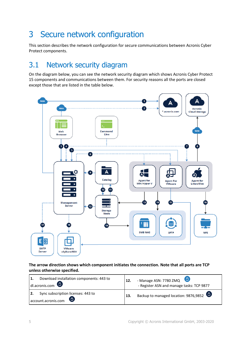# <span id="page-4-0"></span>3 Secure network configuration

This section describes the network configuration for secure communications between Acronis Cyber Protect components.

# <span id="page-4-1"></span>3.1 Network security diagram

On the diagram below, you can see the network security diagram which shows Acronis Cyber Protect 15 components and communications between them. For security reasons all the ports are closed except those that are listed in the table below.



**The arrow direction shows which component initiates the connection. Note that all ports are TCP unless otherwise specified.**

| Download installation components: 443 to<br>  1.<br>$d$ l.acronis.com    | 12. | - Manage ASN: 7780 ZMQ<br>- Register ASN and manage tasks: TCP 9877 |
|--------------------------------------------------------------------------|-----|---------------------------------------------------------------------|
| Sync subscription licenses: 443 to<br>l 2.<br>(A)<br>account.acronis.com | 13. | Backup to managed location: 9876,9852 $\bullet$                     |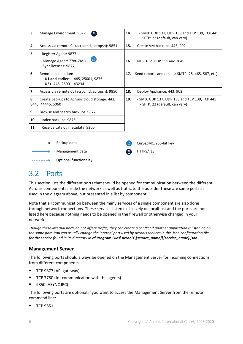| 3.  | Manage Environment: 9877<br>6                                                             | 14. | - SMB: UDP 137, UDP 138 and TCP 139, TCP 445<br>- SFTP: 22 (default, can vary) |
|-----|-------------------------------------------------------------------------------------------|-----|--------------------------------------------------------------------------------|
| 4.  | Access via remote CL (acrocmd, acropsh): 9851                                             | 15. | Create VM backups: 443, 902                                                    |
| 5.  | - Register Agent: 9877                                                                    |     |                                                                                |
|     | 6<br>- Manage Agent: 7780 ZMQ<br>- Sync licenses: 9877                                    | 16. | NFS: TCP, UDP 111 and 2049                                                     |
| 6.  | Remote installation:<br><b>U1 and earlier: 445, 25001, 9876</b><br>U2+: 445, 25001, 43234 | 17. | Send reports and emails: SMTP (25, 465, 587, etc)                              |
| 7.  | Access via remote CL (acrocmd, acropsh): 9850                                             | 18. | Deploy Appliance: 443, 902                                                     |
| 8.  | Create backups to Acronis cloud storage: 443,<br>8443, 44445, 5060                        | 19. | - SMB: UDP 137, UDP 138 and TCP 139, TCP 445<br>- SFTP: 22 (default, can vary) |
| 9.  | Browse and search backups: 9877                                                           |     |                                                                                |
| 10. | Index backups: 9876                                                                       |     |                                                                                |
| 11. | Receive catalog metadata: 9200                                                            |     |                                                                                |
|     |                                                                                           |     |                                                                                |
|     | Backup data                                                                               |     | CurveZMQ 256-bit key                                                           |
|     | Management data                                                                           |     | HTTPS/TLS                                                                      |
|     | Optional functionality                                                                    |     |                                                                                |

### <span id="page-5-0"></span>3.2 Ports

This section lists the different ports that should be opened for communication between the different Acronis components inside the network as well as traffic to the outside. These are same ports as used in the diagram above, but presented in a list by component.

Note that all communication between the many services of a single component are also done through network connections. These services listen exclusively on localhost and the ports are not listed here because nothing needs to be opened in the firewall or otherwise changed in your network.

*Though these internal ports do not affect traffic, they can create a conflict if another application is listening on the same port. You can usually change the internal port used by Acronis services in the .json configuration file for the service found in its directory in c:\Program Files\Acronis\[service\_name]\[service\_name].json*

#### **Management Server**

The following ports should always be opened on the Management Server for incoming connections from different components:

- TCP 9877 (API gateway)
- TCP 7780 (for communication with the agents)
- 9850 (ASYNC IPC)

The following ports are optional if you want to access the Management Server from the remote command line:

**TCP 9851**